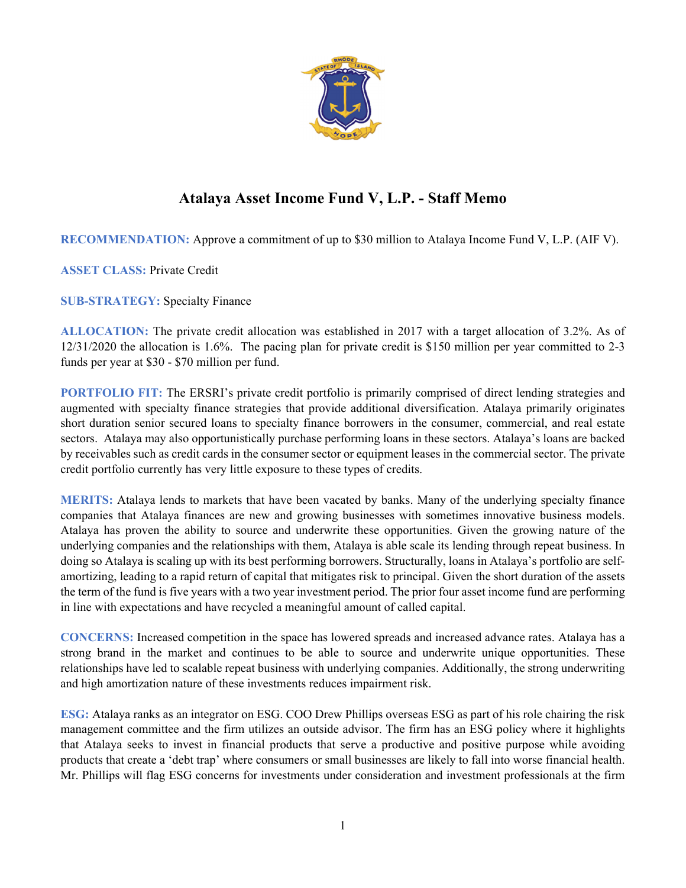

## **Atalaya Asset Income Fund V, L.P. - Staff Memo**

**RECOMMENDATION:** Approve a commitment of up to \$30 million to Atalaya Income Fund V, L.P. (AIF V).

**ASSET CLASS:** Private Credit

**SUB-STRATEGY:** Specialty Finance

**ALLOCATION:** The private credit allocation was established in 2017 with a target allocation of 3.2%. As of 12/31/2020 the allocation is 1.6%. The pacing plan for private credit is \$150 million per year committed to 2-3 funds per year at \$30 - \$70 million per fund.

**PORTFOLIO FIT:** The ERSRI's private credit portfolio is primarily comprised of direct lending strategies and augmented with specialty finance strategies that provide additional diversification. Atalaya primarily originates short duration senior secured loans to specialty finance borrowers in the consumer, commercial, and real estate sectors. Atalaya may also opportunistically purchase performing loans in these sectors. Atalaya's loans are backed by receivables such as credit cards in the consumer sector or equipment leases in the commercial sector. The private credit portfolio currently has very little exposure to these types of credits.

**MERITS:** Atalaya lends to markets that have been vacated by banks. Many of the underlying specialty finance companies that Atalaya finances are new and growing businesses with sometimes innovative business models. Atalaya has proven the ability to source and underwrite these opportunities. Given the growing nature of the underlying companies and the relationships with them, Atalaya is able scale its lending through repeat business. In doing so Atalaya is scaling up with its best performing borrowers. Structurally, loans in Atalaya's portfolio are selfamortizing, leading to a rapid return of capital that mitigates risk to principal. Given the short duration of the assets the term of the fund is five years with a two year investment period. The prior four asset income fund are performing in line with expectations and have recycled a meaningful amount of called capital.

**CONCERNS:** Increased competition in the space has lowered spreads and increased advance rates. Atalaya has a strong brand in the market and continues to be able to source and underwrite unique opportunities. These relationships have led to scalable repeat business with underlying companies. Additionally, the strong underwriting and high amortization nature of these investments reduces impairment risk.

**ESG:** Atalaya ranks as an integrator on ESG. COO Drew Phillips overseas ESG as part of his role chairing the risk management committee and the firm utilizes an outside advisor. The firm has an ESG policy where it highlights that Atalaya seeks to invest in financial products that serve a productive and positive purpose while avoiding products that create a 'debt trap' where consumers or small businesses are likely to fall into worse financial health. Mr. Phillips will flag ESG concerns for investments under consideration and investment professionals at the firm